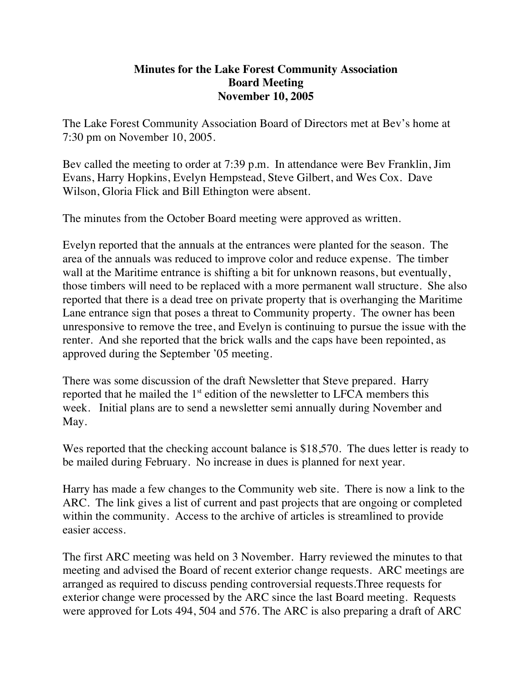## **Minutes for the Lake Forest Community Association Board Meeting November 10, 2005**

The Lake Forest Community Association Board of Directors met at Bev's home at 7:30 pm on November 10, 2005.

Bev called the meeting to order at 7:39 p.m. In attendance were Bev Franklin, Jim Evans, Harry Hopkins, Evelyn Hempstead, Steve Gilbert, and Wes Cox. Dave Wilson, Gloria Flick and Bill Ethington were absent.

The minutes from the October Board meeting were approved as written.

Evelyn reported that the annuals at the entrances were planted for the season. The area of the annuals was reduced to improve color and reduce expense. The timber wall at the Maritime entrance is shifting a bit for unknown reasons, but eventually, those timbers will need to be replaced with a more permanent wall structure. She also reported that there is a dead tree on private property that is overhanging the Maritime Lane entrance sign that poses a threat to Community property. The owner has been unresponsive to remove the tree, and Evelyn is continuing to pursue the issue with the renter. And she reported that the brick walls and the caps have been repointed, as approved during the September '05 meeting.

There was some discussion of the draft Newsletter that Steve prepared. Harry reported that he mailed the  $1<sup>st</sup>$  edition of the newsletter to LFCA members this week. Initial plans are to send a newsletter semi annually during November and May.

Wes reported that the checking account balance is \$18,570. The dues letter is ready to be mailed during February. No increase in dues is planned for next year.

Harry has made a few changes to the Community web site. There is now a link to the ARC. The link gives a list of current and past projects that are ongoing or completed within the community. Access to the archive of articles is streamlined to provide easier access.

The first ARC meeting was held on 3 November. Harry reviewed the minutes to that meeting and advised the Board of recent exterior change requests. ARC meetings are arranged as required to discuss pending controversial requests.Three requests for exterior change were processed by the ARC since the last Board meeting. Requests were approved for Lots 494, 504 and 576. The ARC is also preparing a draft of ARC